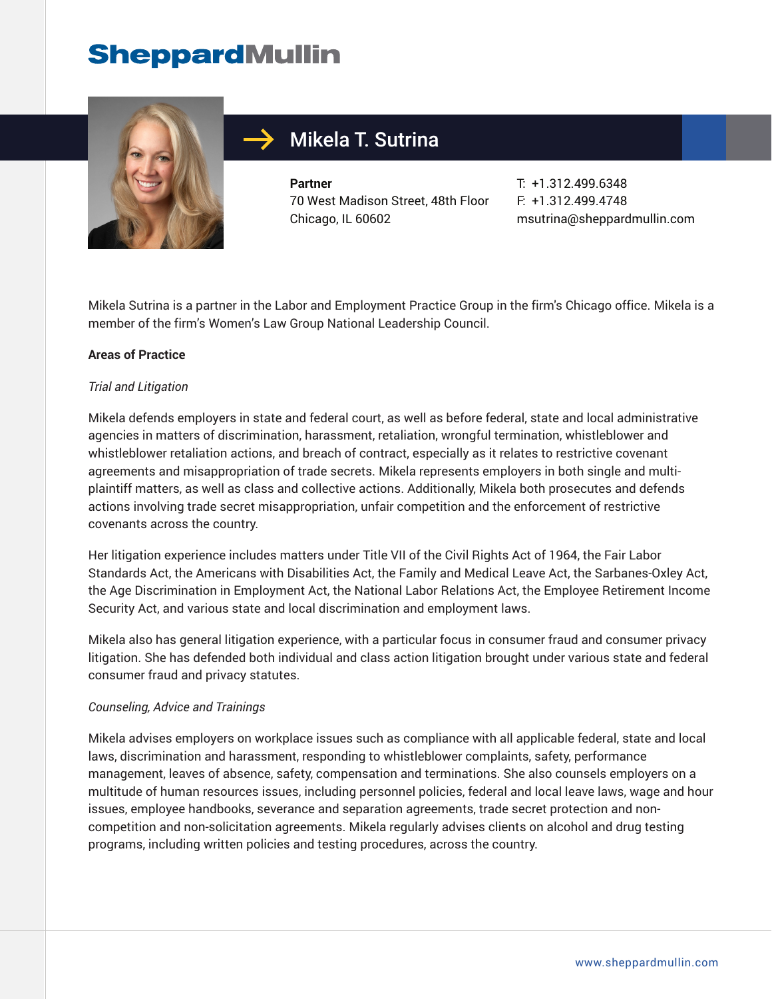# **SheppardMullin**



# Mikela T. Sutrina

**Partner** 70 West Madison Street, 48th Floor Chicago, IL 60602

T: +1.312.499.6348 F: +1.312.499.4748 msutrina@sheppardmullin.com

Mikela Sutrina is a partner in the Labor and Employment Practice Group in the firm's Chicago office. Mikela is a member of the firm's Women's Law Group National Leadership Council.

### **Areas of Practice**

#### *Trial and Litigation*

Mikela defends employers in state and federal court, as well as before federal, state and local administrative agencies in matters of discrimination, harassment, retaliation, wrongful termination, whistleblower and whistleblower retaliation actions, and breach of contract, especially as it relates to restrictive covenant agreements and misappropriation of trade secrets. Mikela represents employers in both single and multiplaintiff matters, as well as class and collective actions. Additionally, Mikela both prosecutes and defends actions involving trade secret misappropriation, unfair competition and the enforcement of restrictive covenants across the country.

Her litigation experience includes matters under Title VII of the Civil Rights Act of 1964, the Fair Labor Standards Act, the Americans with Disabilities Act, the Family and Medical Leave Act, the Sarbanes-Oxley Act, the Age Discrimination in Employment Act, the National Labor Relations Act, the Employee Retirement Income Security Act, and various state and local discrimination and employment laws.

Mikela also has general litigation experience, with a particular focus in consumer fraud and consumer privacy litigation. She has defended both individual and class action litigation brought under various state and federal consumer fraud and privacy statutes.

#### *Counseling, Advice and Trainings*

Mikela advises employers on workplace issues such as compliance with all applicable federal, state and local laws, discrimination and harassment, responding to whistleblower complaints, safety, performance management, leaves of absence, safety, compensation and terminations. She also counsels employers on a multitude of human resources issues, including personnel policies, federal and local leave laws, wage and hour issues, employee handbooks, severance and separation agreements, trade secret protection and noncompetition and non-solicitation agreements. Mikela regularly advises clients on alcohol and drug testing programs, including written policies and testing procedures, across the country.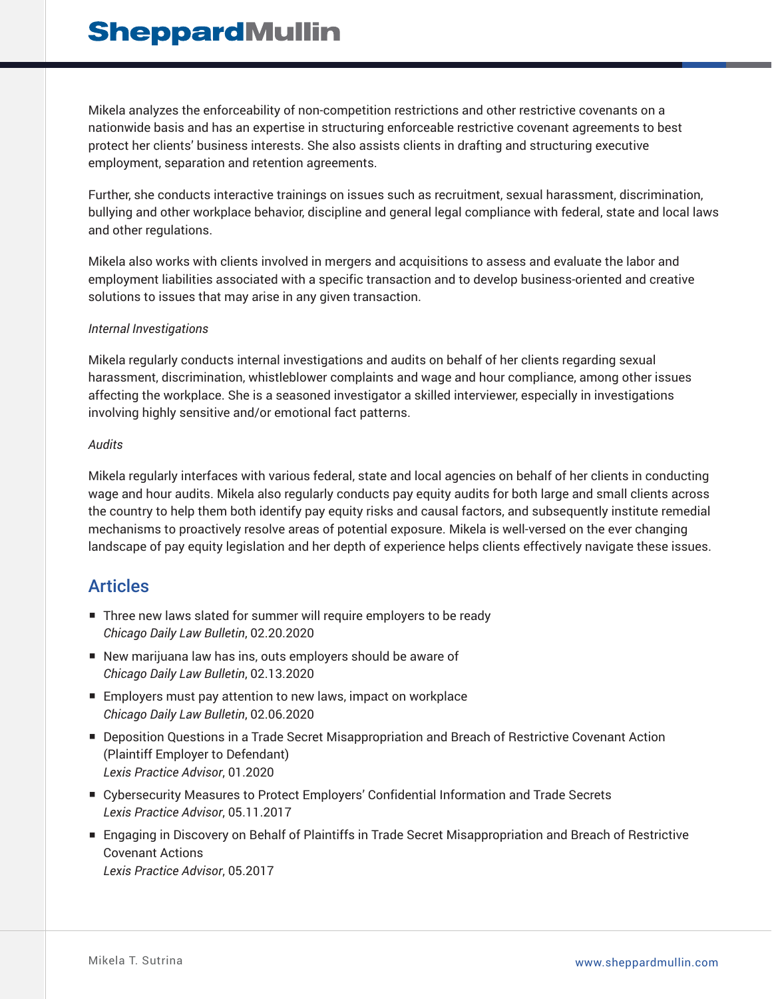Mikela analyzes the enforceability of non-competition restrictions and other restrictive covenants on a nationwide basis and has an expertise in structuring enforceable restrictive covenant agreements to best protect her clients' business interests. She also assists clients in drafting and structuring executive employment, separation and retention agreements.

Further, she conducts interactive trainings on issues such as recruitment, sexual harassment, discrimination, bullying and other workplace behavior, discipline and general legal compliance with federal, state and local laws and other regulations.

Mikela also works with clients involved in mergers and acquisitions to assess and evaluate the labor and employment liabilities associated with a specific transaction and to develop business-oriented and creative solutions to issues that may arise in any given transaction.

### *Internal Investigations*

Mikela regularly conducts internal investigations and audits on behalf of her clients regarding sexual harassment, discrimination, whistleblower complaints and wage and hour compliance, among other issues affecting the workplace. She is a seasoned investigator a skilled interviewer, especially in investigations involving highly sensitive and/or emotional fact patterns.

#### *Audits*

Mikela regularly interfaces with various federal, state and local agencies on behalf of her clients in conducting wage and hour audits. Mikela also regularly conducts pay equity audits for both large and small clients across the country to help them both identify pay equity risks and causal factors, and subsequently institute remedial mechanisms to proactively resolve areas of potential exposure. Mikela is well-versed on the ever changing landscape of pay equity legislation and her depth of experience helps clients effectively navigate these issues.

## **Articles**

- Three new laws slated for summer will require employers to be ready *Chicago Daily Law Bulletin*, 02.20.2020
- New marijuana law has ins, outs employers should be aware of *Chicago Daily Law Bulletin*, 02.13.2020
- Employers must pay attention to new laws, impact on workplace *Chicago Daily Law Bulletin*, 02.06.2020
- Deposition Questions in a Trade Secret Misappropriation and Breach of Restrictive Covenant Action (Plaintiff Employer to Defendant) *Lexis Practice Advisor*, 01.2020
- Cybersecurity Measures to Protect Employers' Confidential Information and Trade Secrets *Lexis Practice Advisor*, 05.11.2017
- Engaging in Discovery on Behalf of Plaintiffs in Trade Secret Misappropriation and Breach of Restrictive Covenant Actions *Lexis Practice Advisor*, 05.2017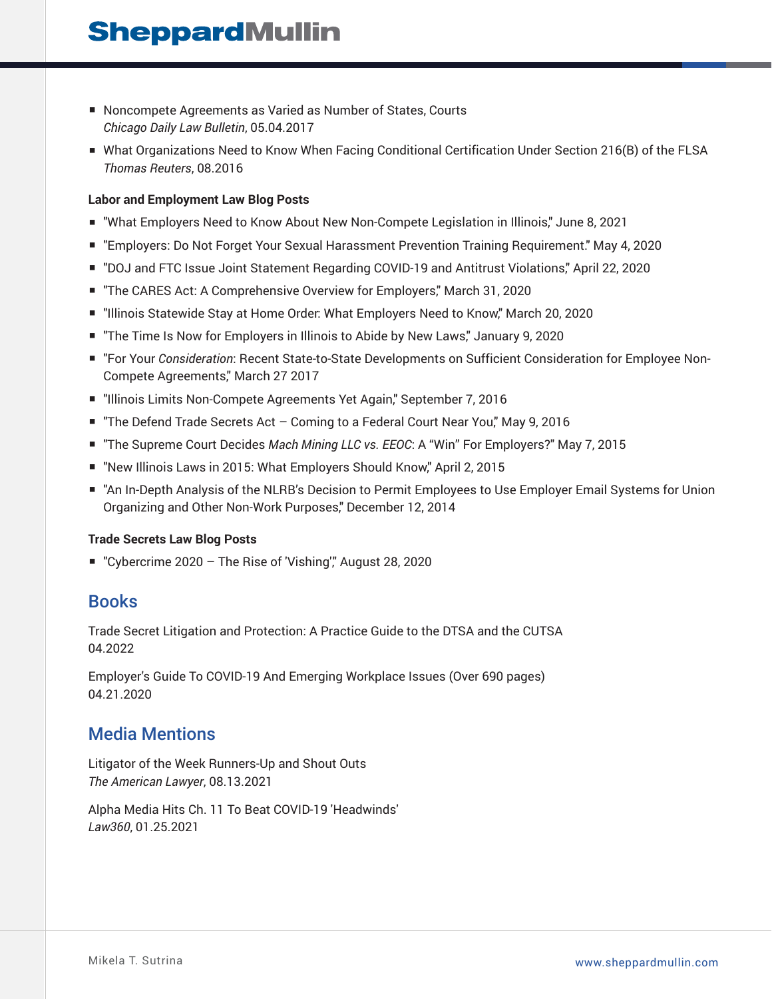# **SheppardMullin**

- Noncompete Agreements as Varied as Number of States, Courts *Chicago Daily Law Bulletin*, 05.04.2017
- What Organizations Need to Know When Facing Conditional Certification Under Section 216(B) of the FLSA *Thomas Reuters*, 08.2016

#### **Labor and Employment Law Blog Posts**

- "What Employers Need to Know About New Non-Compete Legislation in Illinois," June 8, 2021
- "Employers: Do Not Forget Your Sexual Harassment Prevention Training Requirement." May 4, 2020
- "DOJ and FTC Issue Joint Statement Regarding COVID-19 and Antitrust Violations," April 22, 2020
- "The CARES Act: A Comprehensive Overview for Employers," March 31, 2020
- "Illinois Statewide Stay at Home Order: What Employers Need to Know," March 20, 2020
- "The Time Is Now for Employers in Illinois to Abide by New Laws," January 9, 2020
- "For Your *Consideration*: Recent State-to-State Developments on Sufficient Consideration for Employee Non-Compete Agreements," March 27 2017
- "Illinois Limits Non-Compete Agreements Yet Again," September 7, 2016
- "The Defend Trade Secrets Act Coming to a Federal Court Near You," May 9, 2016
- "The Supreme Court Decides *Mach Mining LLC vs. EEOC*: A "Win" For Employers?" May 7, 2015
- "New Illinois Laws in 2015: What Employers Should Know," April 2, 2015
- "An In-Depth Analysis of the NLRB's Decision to Permit Employees to Use Employer Email Systems for Union Organizing and Other Non-Work Purposes," December 12, 2014

#### **Trade Secrets Law Blog Posts**

■ "Cybercrime 2020 - The Rise of 'Vishing'," August 28, 2020

### Books

Trade Secret Litigation and Protection: A Practice Guide to the DTSA and the CUTSA 04.2022

Employer's Guide To COVID-19 And Emerging Workplace Issues (Over 690 pages) 04.21.2020

## Media Mentions

Litigator of the Week Runners-Up and Shout Outs *The American Lawyer*, 08.13.2021

Alpha Media Hits Ch. 11 To Beat COVID-19 'Headwinds' *Law360*, 01.25.2021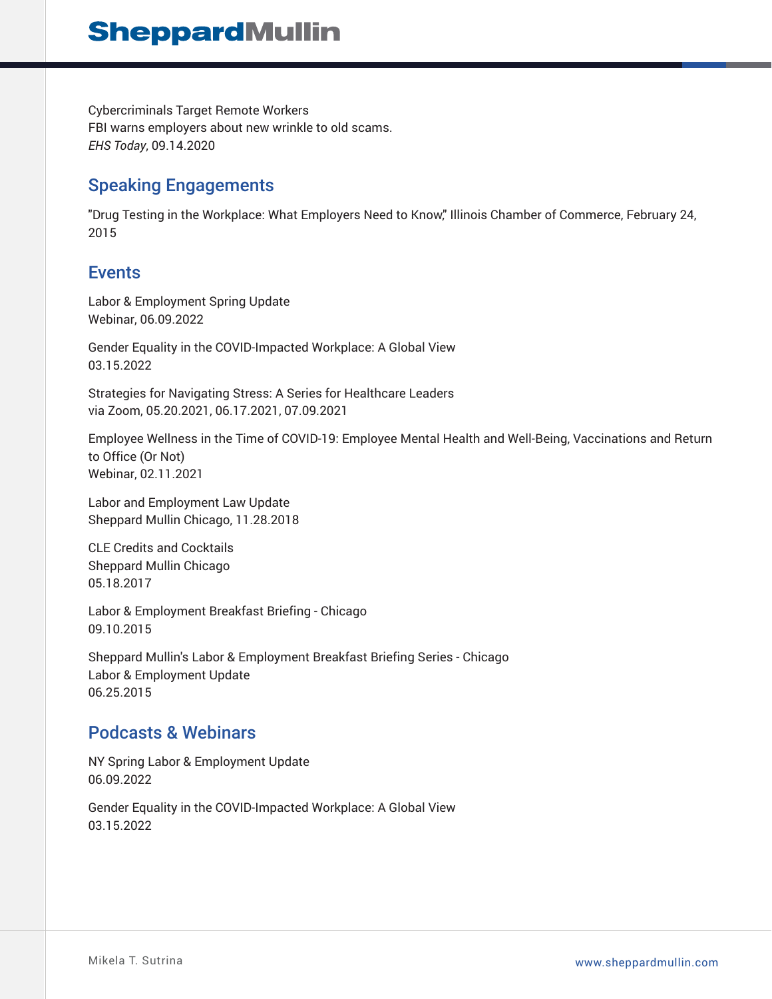Cybercriminals Target Remote Workers FBI warns employers about new wrinkle to old scams. *EHS Today*, 09.14.2020

## Speaking Engagements

"Drug Testing in the Workplace: What Employers Need to Know," Illinois Chamber of Commerce, February 24, 2015

## **Events**

Labor & Employment Spring Update Webinar, 06.09.2022

Gender Equality in the COVID-Impacted Workplace: A Global View 03.15.2022

Strategies for Navigating Stress: A Series for Healthcare Leaders via Zoom, 05.20.2021, 06.17.2021, 07.09.2021

Employee Wellness in the Time of COVID-19: Employee Mental Health and Well-Being, Vaccinations and Return to Office (Or Not) Webinar, 02.11.2021

Labor and Employment Law Update Sheppard Mullin Chicago, 11.28.2018

CLE Credits and Cocktails Sheppard Mullin Chicago 05.18.2017

Labor & Employment Breakfast Briefing - Chicago 09.10.2015

Sheppard Mullin's Labor & Employment Breakfast Briefing Series - Chicago Labor & Employment Update 06.25.2015

## Podcasts & Webinars

NY Spring Labor & Employment Update 06.09.2022

Gender Equality in the COVID-Impacted Workplace: A Global View 03.15.2022